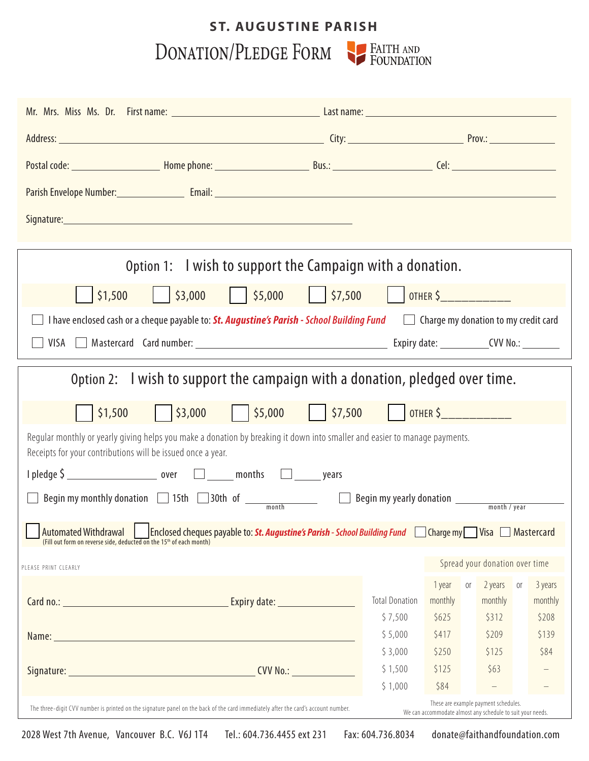## DONATION/PLEDGE FORM PEAITH AND **ST. AUGUSTINE PARISH**

| Option 1: I wish to support the Campaign with a donation.                                                                                                                                                                               |                       |                                             |            |         |  |  |  |  |  |
|-----------------------------------------------------------------------------------------------------------------------------------------------------------------------------------------------------------------------------------------|-----------------------|---------------------------------------------|------------|---------|--|--|--|--|--|
| $\frac{1}{55,000}$<br>$\frac{1}{57,500}$     OTHER \$<br>$\frac{1}{2}$ \$3,000<br>\$1,500                                                                                                                                               |                       |                                             |            |         |  |  |  |  |  |
| I have enclosed cash or a cheque payable to: St. Augustine's Parish - School Building Fund                                                                                                                                              |                       | $\Box$ Charge my donation to my credit card |            |         |  |  |  |  |  |
|                                                                                                                                                                                                                                         |                       |                                             |            |         |  |  |  |  |  |
|                                                                                                                                                                                                                                         |                       |                                             |            |         |  |  |  |  |  |
| I wish to support the campaign with a donation, pledged over time.<br>Option 2:                                                                                                                                                         |                       |                                             |            |         |  |  |  |  |  |
| \$3,000<br>\$1,500                                                                                                                                                                                                                      |                       |                                             |            |         |  |  |  |  |  |
| Regular monthly or yearly giving helps you make a donation by breaking it down into smaller and easier to manage payments.<br>Receipts for your contributions will be issued once a year.                                               |                       |                                             |            |         |  |  |  |  |  |
|                                                                                                                                                                                                                                         |                       |                                             |            |         |  |  |  |  |  |
| Begin my monthly donation 15th 30th of <u>month</u> Begin my yearly donation <u>substance and tyear</u>                                                                                                                                 |                       |                                             |            |         |  |  |  |  |  |
| Automated Withdrawal Enclosed cheques payable to: <b>St. Augustine's Parish</b> - School Building Fund Charge my Sisa Mastercard (Fill out form on reverse side, deducted on the 15 <sup>th</sup> of each month)                        |                       |                                             |            |         |  |  |  |  |  |
| Spread your donation over time                                                                                                                                                                                                          |                       |                                             |            |         |  |  |  |  |  |
| PLEASE PRINT CLEARLY                                                                                                                                                                                                                    |                       | 1 year<br>0ľ                                | 2 years or | 3 years |  |  |  |  |  |
| Expiry date: University of Province and Section 1986.                                                                                                                                                                                   | <b>Total Donation</b> | monthly                                     | monthly    | monthly |  |  |  |  |  |
|                                                                                                                                                                                                                                         | \$7,500               | \$625                                       | \$312      | \$208   |  |  |  |  |  |
| Name: Name and the second contract of the second contract of the second contract of the second contract of the                                                                                                                          | \$5,000               | \$417                                       | \$209      | \$139   |  |  |  |  |  |
|                                                                                                                                                                                                                                         | \$3,000               | \$250                                       | \$125      | \$84    |  |  |  |  |  |
|                                                                                                                                                                                                                                         | \$1,500<br>\$1,000    | \$125<br>\$84                               | \$63       |         |  |  |  |  |  |
|                                                                                                                                                                                                                                         |                       |                                             |            |         |  |  |  |  |  |
| These are example payment schedules.<br>The three-digit CVV number is printed on the signature panel on the back of the card immediately after the card's account number.<br>We can accommodate almost any schedule to suit your needs. |                       |                                             |            |         |  |  |  |  |  |

2028 West 7th Avenue, Vancouver B.C. V6J 1T4 Tel.: 604.736.4455 ext 231 Fax: 604.736.8034 donate@faithandfoundation.com